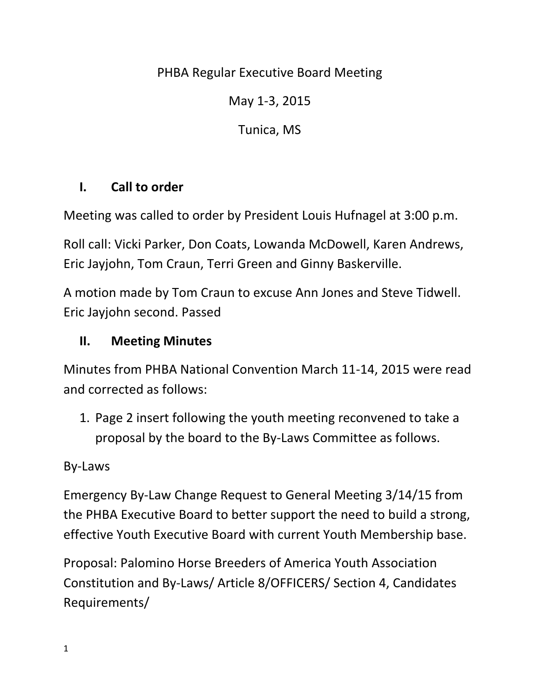## PHBA Regular Executive Board Meeting

May 1-3, 2015

Tunica, MS

## **I. Call to order**

Meeting was called to order by President Louis Hufnagel at 3:00 p.m.

Roll call: Vicki Parker, Don Coats, Lowanda McDowell, Karen Andrews, Eric Jayjohn, Tom Craun, Terri Green and Ginny Baskerville.

A motion made by Tom Craun to excuse Ann Jones and Steve Tidwell. Eric Jayjohn second. Passed

## **II. Meeting Minutes**

Minutes from PHBA National Convention March 11-14, 2015 were read and corrected as follows:

1. Page 2 insert following the youth meeting reconvened to take a proposal by the board to the By-Laws Committee as follows.

## By-Laws

Emergency By-Law Change Request to General Meeting 3/14/15 from the PHBA Executive Board to better support the need to build a strong, effective Youth Executive Board with current Youth Membership base.

Proposal: Palomino Horse Breeders of America Youth Association Constitution and By-Laws/ Article 8/OFFICERS/ Section 4, Candidates Requirements/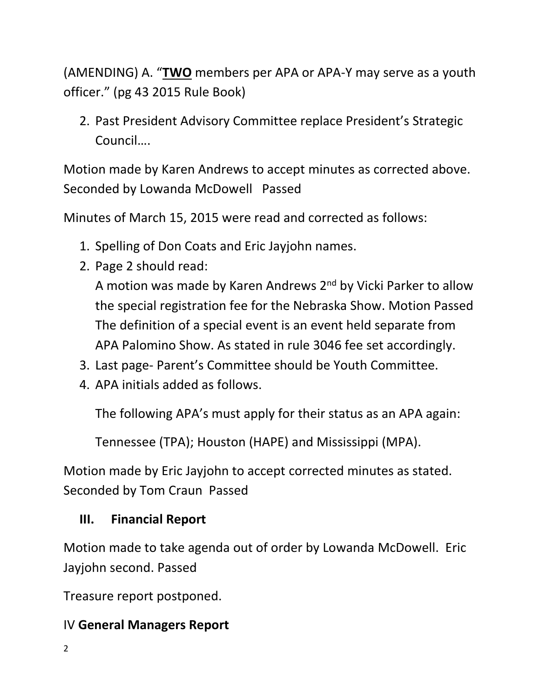(AMENDING) A. "**TWO** members per APA or APA-Y may serve as a youth officer." (pg 43 2015 Rule Book)

2. Past President Advisory Committee replace President's Strategic Council….

Motion made by Karen Andrews to accept minutes as corrected above. Seconded by Lowanda McDowell Passed

Minutes of March 15, 2015 were read and corrected as follows:

- 1. Spelling of Don Coats and Eric Jayjohn names.
- 2. Page 2 should read:

A motion was made by Karen Andrews 2<sup>nd</sup> by Vicki Parker to allow the special registration fee for the Nebraska Show. Motion Passed The definition of a special event is an event held separate from APA Palomino Show. As stated in rule 3046 fee set accordingly.

- 3. Last page- Parent's Committee should be Youth Committee.
- 4. APA initials added as follows.

The following APA's must apply for their status as an APA again:

Tennessee (TPA); Houston (HAPE) and Mississippi (MPA).

Motion made by Eric Jayjohn to accept corrected minutes as stated. Seconded by Tom Craun Passed

## **III. Financial Report**

Motion made to take agenda out of order by Lowanda McDowell. Eric Jayjohn second. Passed

Treasure report postponed.

### IV **General Managers Report**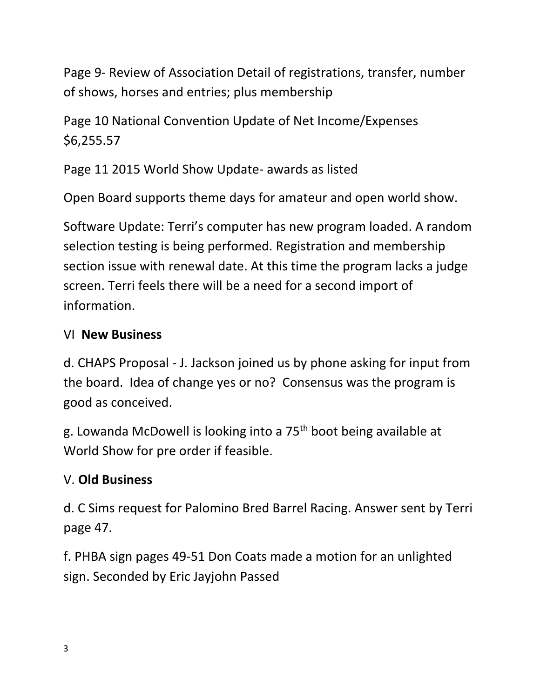Page 9- Review of Association Detail of registrations, transfer, number of shows, horses and entries; plus membership

Page 10 National Convention Update of Net Income/Expenses \$6,255.57

Page 11 2015 World Show Update- awards as listed

Open Board supports theme days for amateur and open world show.

Software Update: Terri's computer has new program loaded. A random selection testing is being performed. Registration and membership section issue with renewal date. At this time the program lacks a judge screen. Terri feels there will be a need for a second import of information.

## VI **New Business**

d. CHAPS Proposal - J. Jackson joined us by phone asking for input from the board. Idea of change yes or no? Consensus was the program is good as conceived.

g. Lowanda McDowell is looking into a 75th boot being available at World Show for pre order if feasible.

## V. **Old Business**

d. C Sims request for Palomino Bred Barrel Racing. Answer sent by Terri page 47.

f. PHBA sign pages 49-51 Don Coats made a motion for an unlighted sign. Seconded by Eric Jayjohn Passed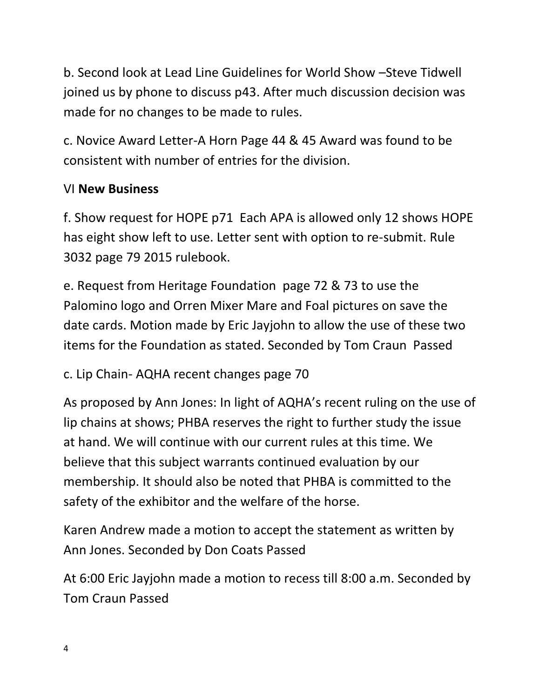b. Second look at Lead Line Guidelines for World Show –Steve Tidwell joined us by phone to discuss p43. After much discussion decision was made for no changes to be made to rules.

c. Novice Award Letter-A Horn Page 44 & 45 Award was found to be consistent with number of entries for the division.

## VI **New Business**

f. Show request for HOPE p71 Each APA is allowed only 12 shows HOPE has eight show left to use. Letter sent with option to re-submit. Rule 3032 page 79 2015 rulebook.

e. Request from Heritage Foundation page 72 & 73 to use the Palomino logo and Orren Mixer Mare and Foal pictures on save the date cards. Motion made by Eric Jayjohn to allow the use of these two items for the Foundation as stated. Seconded by Tom Craun Passed

c. Lip Chain- AQHA recent changes page 70

As proposed by Ann Jones: In light of AQHA's recent ruling on the use of lip chains at shows; PHBA reserves the right to further study the issue at hand. We will continue with our current rules at this time. We believe that this subject warrants continued evaluation by our membership. It should also be noted that PHBA is committed to the safety of the exhibitor and the welfare of the horse.

Karen Andrew made a motion to accept the statement as written by Ann Jones. Seconded by Don Coats Passed

At 6:00 Eric Jayjohn made a motion to recess till 8:00 a.m. Seconded by Tom Craun Passed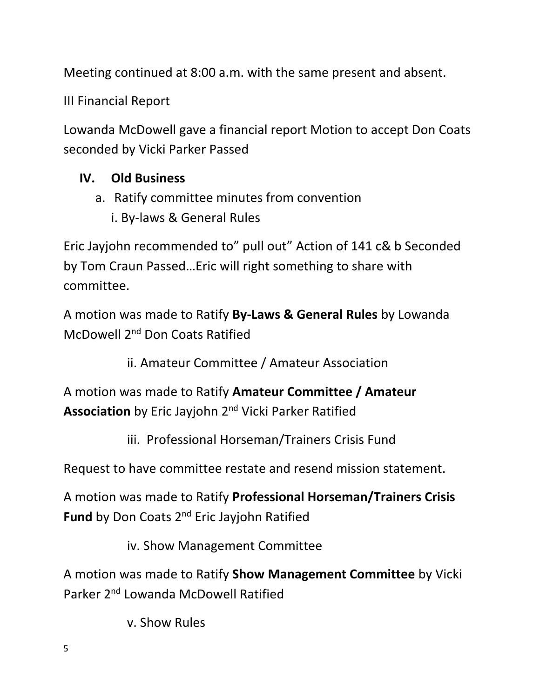Meeting continued at 8:00 a.m. with the same present and absent.

III Financial Report

Lowanda McDowell gave a financial report Motion to accept Don Coats seconded by Vicki Parker Passed

## **IV. Old Business**

- a. Ratify committee minutes from convention
	- i. By-laws & General Rules

Eric Jayjohn recommended to" pull out" Action of 141 c& b Seconded by Tom Craun Passed…Eric will right something to share with committee.

A motion was made to Ratify **By-Laws & General Rules** by Lowanda McDowell 2nd Don Coats Ratified

ii. Amateur Committee / Amateur Association

A motion was made to Ratify **Amateur Committee / Amateur Association** by Eric Jayjohn 2nd Vicki Parker Ratified

iii. Professional Horseman/Trainers Crisis Fund

Request to have committee restate and resend mission statement.

A motion was made to Ratify **Professional Horseman/Trainers Crisis Fund** by Don Coats 2nd Eric Jayjohn Ratified

iv. Show Management Committee

A motion was made to Ratify **Show Management Committee** by Vicki Parker 2nd Lowanda McDowell Ratified

v. Show Rules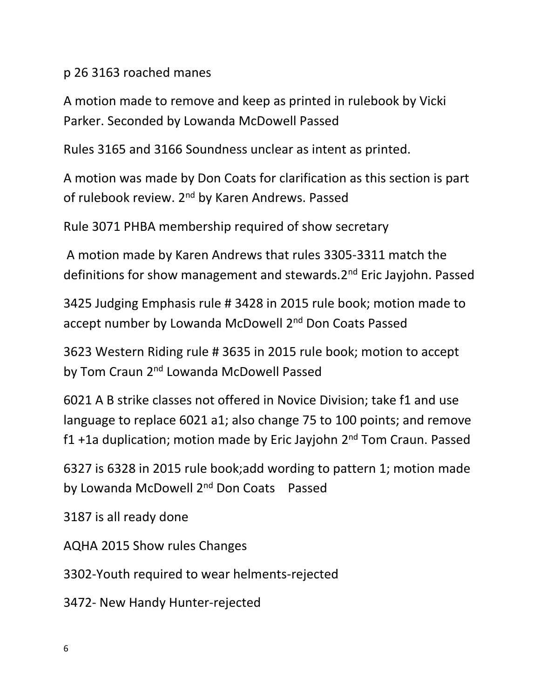p 26 3163 roached manes

A motion made to remove and keep as printed in rulebook by Vicki Parker. Seconded by Lowanda McDowell Passed

Rules 3165 and 3166 Soundness unclear as intent as printed.

A motion was made by Don Coats for clarification as this section is part of rulebook review. 2<sup>nd</sup> by Karen Andrews. Passed

Rule 3071 PHBA membership required of show secretary

A motion made by Karen Andrews that rules 3305-3311 match the definitions for show management and stewards.2nd Eric Jayjohn. Passed

3425 Judging Emphasis rule # 3428 in 2015 rule book; motion made to accept number by Lowanda McDowell 2<sup>nd</sup> Don Coats Passed

3623 Western Riding rule # 3635 in 2015 rule book; motion to accept by Tom Craun 2<sup>nd</sup> Lowanda McDowell Passed

6021 A B strike classes not offered in Novice Division; take f1 and use language to replace 6021 a1; also change 75 to 100 points; and remove f1 +1a duplication; motion made by Eric Jayjohn 2<sup>nd</sup> Tom Craun. Passed

6327 is 6328 in 2015 rule book;add wording to pattern 1; motion made by Lowanda McDowell 2<sup>nd</sup> Don Coats Passed

3187 is all ready done

AQHA 2015 Show rules Changes

3302-Youth required to wear helments-rejected

3472- New Handy Hunter-rejected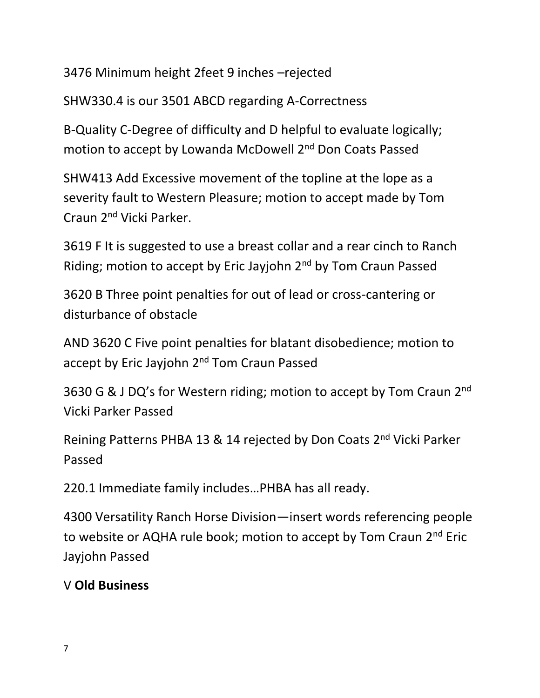3476 Minimum height 2feet 9 inches –rejected

SHW330.4 is our 3501 ABCD regarding A-Correctness

B-Quality C-Degree of difficulty and D helpful to evaluate logically; motion to accept by Lowanda McDowell 2<sup>nd</sup> Don Coats Passed

SHW413 Add Excessive movement of the topline at the lope as a severity fault to Western Pleasure; motion to accept made by Tom Craun 2nd Vicki Parker.

3619 F It is suggested to use a breast collar and a rear cinch to Ranch Riding; motion to accept by Eric Jayjohn 2<sup>nd</sup> by Tom Craun Passed

3620 B Three point penalties for out of lead or cross-cantering or disturbance of obstacle

AND 3620 C Five point penalties for blatant disobedience; motion to accept by Eric Jayjohn 2<sup>nd</sup> Tom Craun Passed

3630 G & J DQ's for Western riding; motion to accept by Tom Craun 2<sup>nd</sup> Vicki Parker Passed

Reining Patterns PHBA 13 & 14 rejected by Don Coats 2nd Vicki Parker Passed

220.1 Immediate family includes…PHBA has all ready.

4300 Versatility Ranch Horse Division—insert words referencing people to website or AQHA rule book; motion to accept by Tom Craun 2<sup>nd</sup> Eric Jayjohn Passed

## V **Old Business**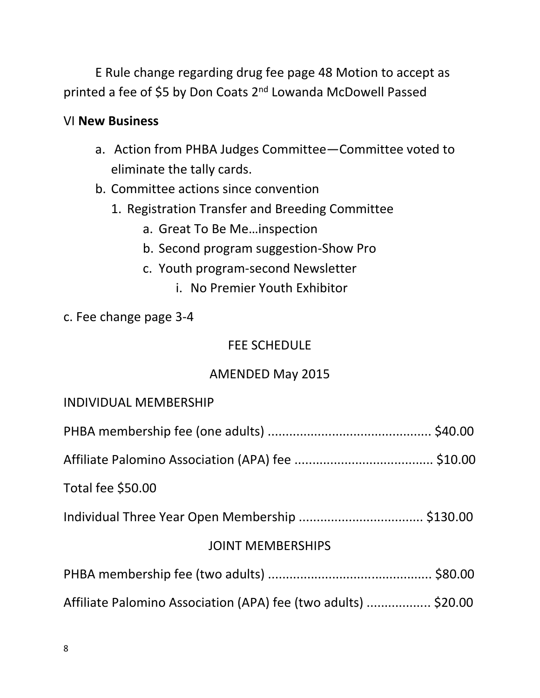E Rule change regarding drug fee page 48 Motion to accept as printed a fee of \$5 by Don Coats 2nd Lowanda McDowell Passed

#### VI **New Business**

- a. Action from PHBA Judges Committee—Committee voted to eliminate the tally cards.
- b. Committee actions since convention
	- 1. Registration Transfer and Breeding Committee
		- a. Great To Be Me…inspection
		- b. Second program suggestion-Show Pro
		- c. Youth program-second Newsletter
			- i. No Premier Youth Exhibitor

#### c. Fee change page 3-4

#### FEE SCHEDULE

### AMENDED May 2015

| <b>INDIVIDUAL MEMBERSHIP</b> |  |
|------------------------------|--|
|                              |  |
|                              |  |
| Total fee \$50.00            |  |
|                              |  |

Individual Three Year Open Membership ................................... \$130.00

### JOINT MEMBERSHIPS

- PHBA membership fee (two adults) .............................................. \$80.00
- Affiliate Palomino Association (APA) fee (two adults) .................. \$20.00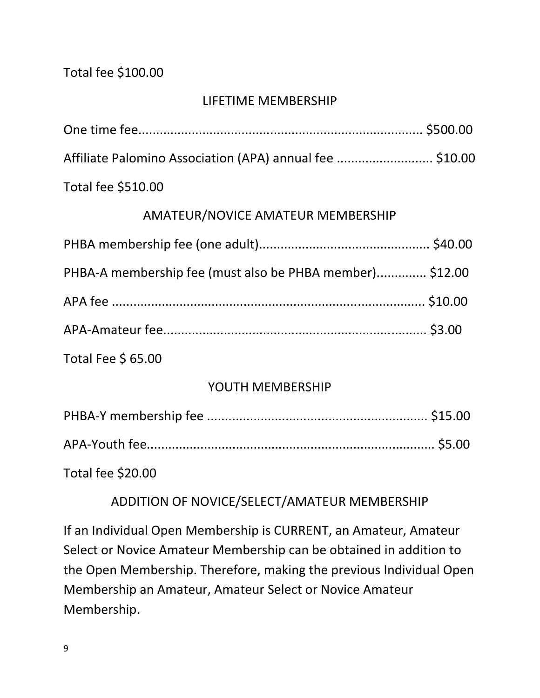#### Total fee \$100.00

#### LIFETIME MEMBERSHIP

| Affiliate Palomino Association (APA) annual fee  \$10.00 |  |
|----------------------------------------------------------|--|
| Total fee \$510.00                                       |  |

#### AMATEUR/NOVICE AMATEUR MEMBERSHIP

| PHBA-A membership fee (must also be PHBA member) \$12.00 |  |
|----------------------------------------------------------|--|
|                                                          |  |
|                                                          |  |
| Total Fee \$ 65.00                                       |  |

#### YOUTH MEMBERSHIP

Total fee \$20.00

### ADDITION OF NOVICE/SELECT/AMATEUR MEMBERSHIP

If an Individual Open Membership is CURRENT, an Amateur, Amateur Select or Novice Amateur Membership can be obtained in addition to the Open Membership. Therefore, making the previous Individual Open Membership an Amateur, Amateur Select or Novice Amateur Membership.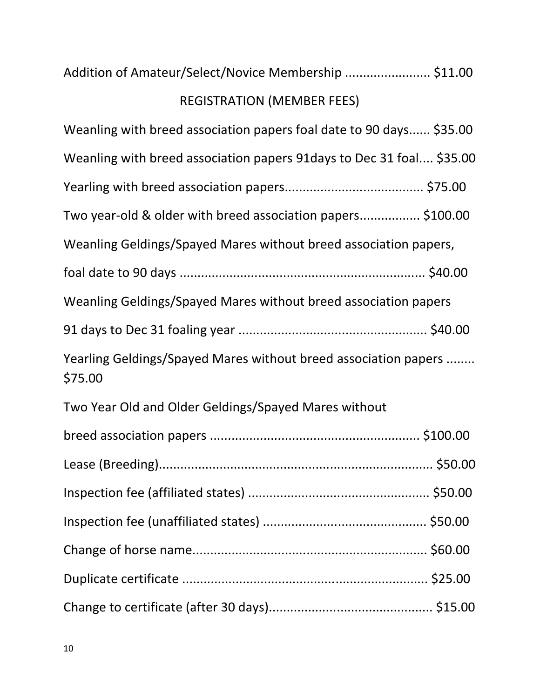# REGISTRATION (MEMBER FEES)

| Weanling with breed association papers foal date to 90 days \$35.00        |
|----------------------------------------------------------------------------|
| Weanling with breed association papers 91 days to Dec 31 foal \$35.00      |
|                                                                            |
| Two year-old & older with breed association papers \$100.00                |
| Weanling Geldings/Spayed Mares without breed association papers,           |
|                                                                            |
| Weanling Geldings/Spayed Mares without breed association papers            |
|                                                                            |
| Yearling Geldings/Spayed Mares without breed association papers<br>\$75.00 |
| Two Year Old and Older Geldings/Spayed Mares without                       |
|                                                                            |
|                                                                            |
|                                                                            |
|                                                                            |
|                                                                            |
|                                                                            |
|                                                                            |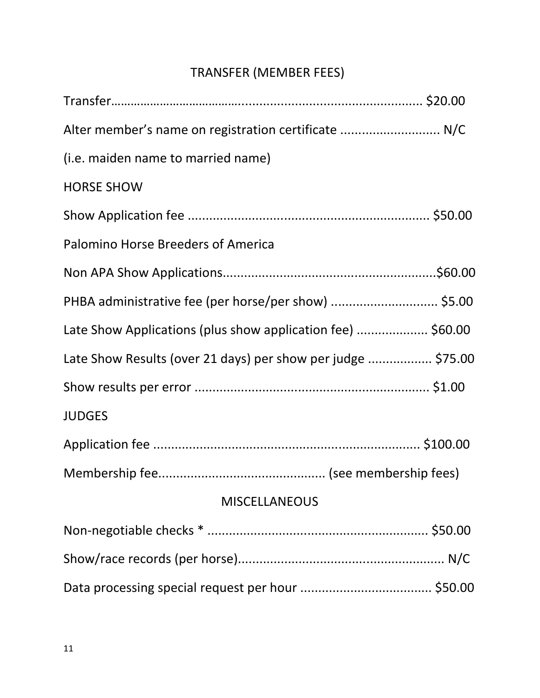# TRANSFER (MEMBER FEES)

| Alter member's name on registration certificate  N/C         |  |
|--------------------------------------------------------------|--|
| (i.e. maiden name to married name)                           |  |
| <b>HORSE SHOW</b>                                            |  |
|                                                              |  |
| Palomino Horse Breeders of America                           |  |
|                                                              |  |
| PHBA administrative fee (per horse/per show)  \$5.00         |  |
| Late Show Applications (plus show application fee)  \$60.00  |  |
| Late Show Results (over 21 days) per show per judge  \$75.00 |  |
|                                                              |  |
| <b>JUDGES</b>                                                |  |
|                                                              |  |
|                                                              |  |
| <b>MISCELLANEOUS</b>                                         |  |
|                                                              |  |
|                                                              |  |
|                                                              |  |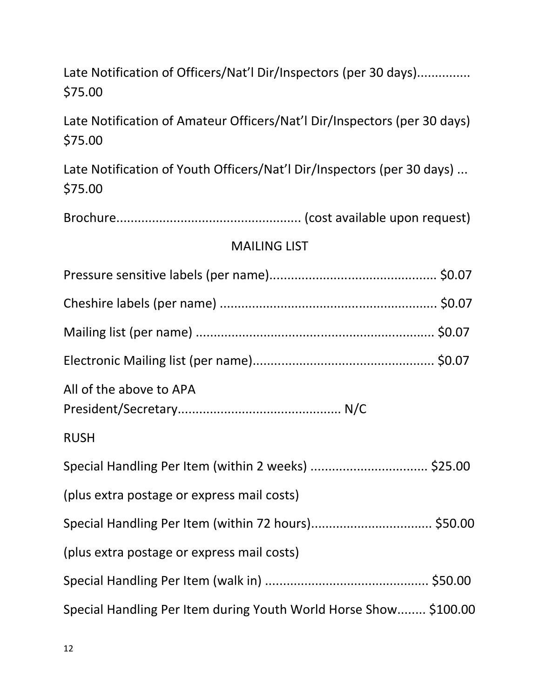# Late Notification of Officers/Nat'l Dir/Inspectors (per 30 days)................ \$75.00

Late Notification of Amateur Officers/Nat'l Dir/Inspectors (per 30 days) \$75.00

Late Notification of Youth Officers/Nat'l Dir/Inspectors (per 30 days) ... \$75.00

Brochure.................................................... (cost available upon request)

#### MAILING LIST

| All of the above to APA                                          |  |
|------------------------------------------------------------------|--|
| <b>RUSH</b>                                                      |  |
|                                                                  |  |
| (plus extra postage or express mail costs)                       |  |
|                                                                  |  |
| (plus extra postage or express mail costs)                       |  |
|                                                                  |  |
| Special Handling Per Item during Youth World Horse Show \$100.00 |  |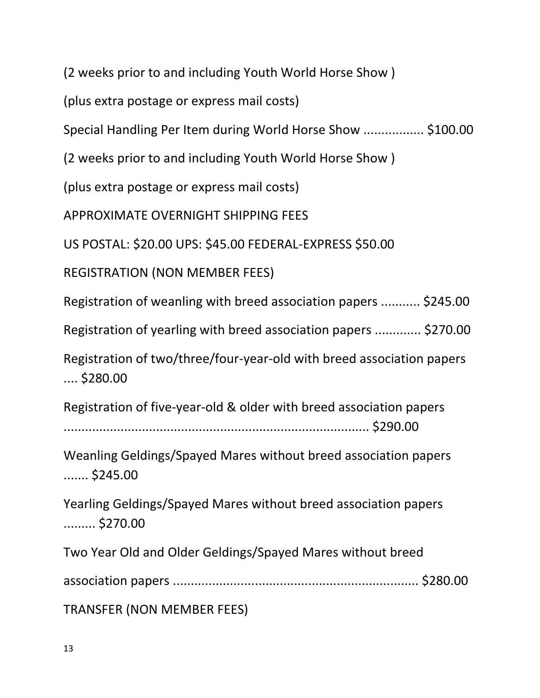(2 weeks prior to and including Youth World Horse Show )

(plus extra postage or express mail costs)

Special Handling Per Item during World Horse Show ................. \$100.00

(2 weeks prior to and including Youth World Horse Show )

(plus extra postage or express mail costs)

APPROXIMATE OVERNIGHT SHIPPING FEES

US POSTAL: \$20.00 UPS: \$45.00 FEDERAL-EXPRESS \$50.00

REGISTRATION (NON MEMBER FEES)

Registration of weanling with breed association papers ........... \$245.00

Registration of yearling with breed association papers ............. \$270.00

Registration of two/three/four-year-old with breed association papers .... \$280.00

Registration of five-year-old & older with breed association papers

...................................................................................... \$290.00

Weanling Geldings/Spayed Mares without breed association papers ....... \$245.00

Yearling Geldings/Spayed Mares without breed association papers ......... \$270.00

Two Year Old and Older Geldings/Spayed Mares without breed

association papers ..................................................................... \$280.00

TRANSFER (NON MEMBER FEES)